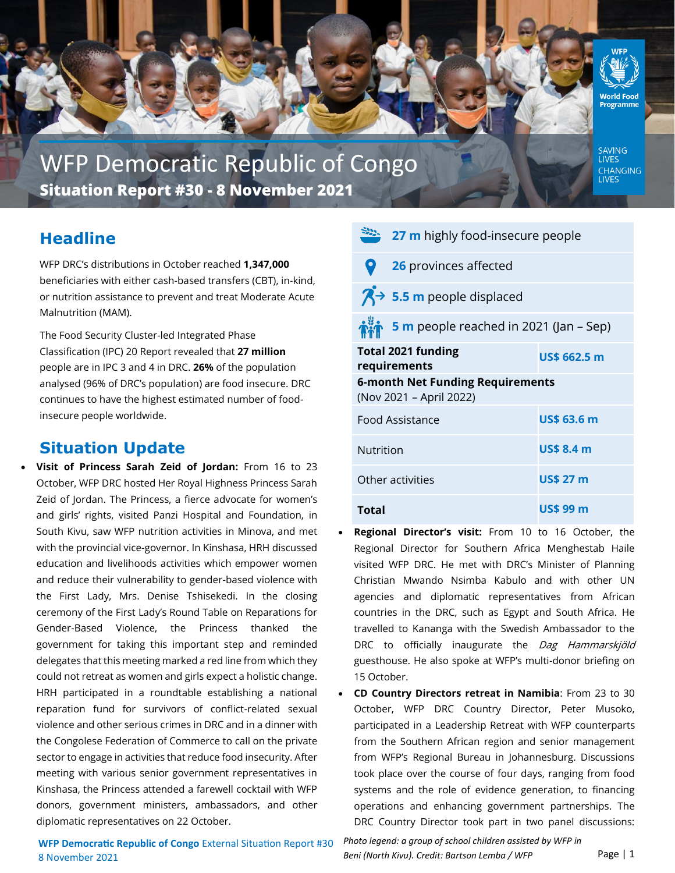

WFP Democratic Republic of Congo **Situation Report #30 - 8 November 2021** 

# **Headline**

WFP DRC's distributions in October reached **1,347,000**  beneficiaries with either cash-based transfers (CBT), in-kind, or nutrition assistance to prevent and treat Moderate Acute Malnutrition (MAM).

The Food Security Cluster-led Integrated Phase Classification (IPC) 20 Report revealed that **27 million**  people are in IPC 3 and 4 in DRC. **26%** of the population analysed (96% of DRC's population) are food insecure. DRC continues to have the highest estimated number of foodinsecure people worldwide.

# **Situation Update**

• **Visit of Princess Sarah Zeid of Jordan:** From 16 to 23 October, WFP DRC hosted Her Royal Highness Princess Sarah Zeid of Jordan. The Princess, a fierce advocate for women's and girls' rights, visited Panzi Hospital and Foundation, in South Kivu, saw WFP nutrition activities in Minova, and met with the provincial vice-governor. In Kinshasa, HRH discussed education and livelihoods activities which empower women and reduce their vulnerability to gender-based violence with the First Lady, Mrs. Denise Tshisekedi. In the closing ceremony of the First Lady's Round Table on Reparations for Gender-Based Violence, the Princess thanked the government for taking this important step and reminded delegates that this meeting marked a red line from which they could not retreat as women and girls expect a holistic change. HRH participated in a roundtable establishing a national reparation fund for survivors of conflict-related sexual violence and other serious crimes in DRC and in a dinner with the Congolese Federation of Commerce to call on the private sector to engage in activities that reduce food insecurity. After meeting with various senior government representatives in Kinshasa, the Princess attended a farewell cocktail with WFP donors, government ministers, ambassadors, and other diplomatic representatives on 22 October.

| 27 m highly food-insecure people                                   |                                           |                     |
|--------------------------------------------------------------------|-------------------------------------------|---------------------|
|                                                                    | 26 provinces affected                     |                     |
|                                                                    | $\overline{A}$ > 5.5 m people displaced   |                     |
|                                                                    | 5 m people reached in 2021 (Jan – Sep)    |                     |
|                                                                    | <b>Total 2021 funding</b><br>requirements | <b>US\$ 662.5 m</b> |
| <b>6-month Net Funding Requirements</b><br>(Nov 2021 - April 2022) |                                           |                     |
| Food Assistance                                                    |                                           | <b>US\$ 63.6 m</b>  |
| Nutrition                                                          |                                           | <b>US\$ 8.4 m</b>   |
| Other activities                                                   |                                           | <b>US\$ 27 m</b>    |
| <b>Total</b>                                                       |                                           | US\$ 99 m           |

- **Regional Director's visit:** From 10 to 16 October, the Regional Director for Southern Africa Menghestab Haile visited WFP DRC. He met with DRC's Minister of Planning Christian Mwando Nsimba Kabulo and with other UN agencies and diplomatic representatives from African countries in the DRC, such as Egypt and South Africa. He travelled to Kananga with the Swedish Ambassador to the DRC to officially inaugurate the Dag Hammarskjöld guesthouse. He also spoke at WFP's multi-donor briefing on 15 October.
- **CD Country Directors retreat in Namibia**: From 23 to 30 October, WFP DRC Country Director, Peter Musoko, participated in a Leadership Retreat with WFP counterparts from the Southern African region and senior management from WFP's Regional Bureau in Johannesburg. Discussions took place over the course of four days, ranging from food systems and the role of evidence generation, to financing operations and enhancing government partnerships. The DRC Country Director took part in two panel discussions:

**WFP Democratic Republic of Congo** External Situation Report #30 8 November 2021

*Photo legend: a group of school children assisted by WFP in Beni (North Kivu). Credit: Bartson Lemba / WFP*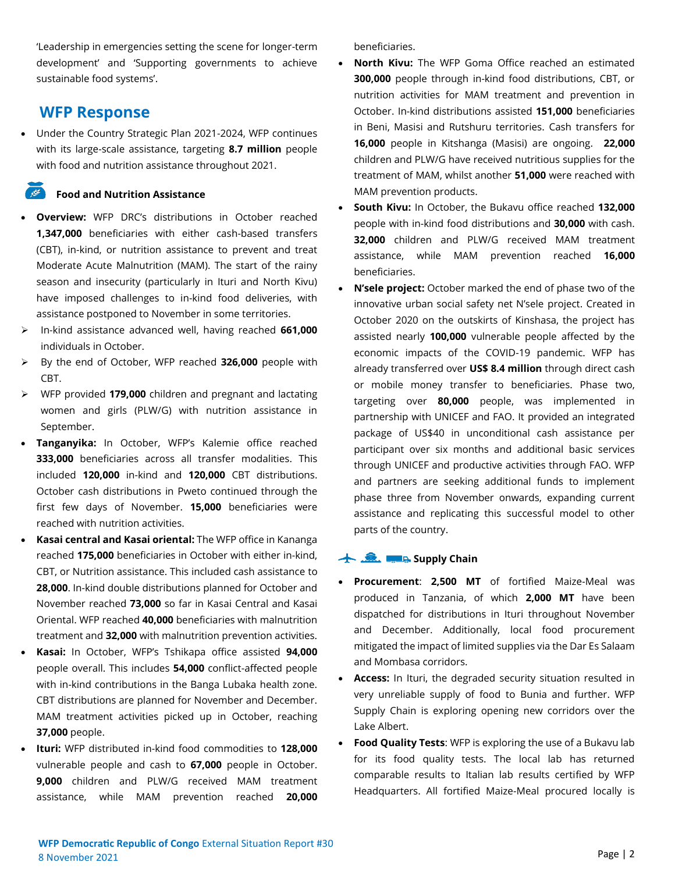'Leadership in emergencies setting the scene for longer-term development' and 'Supporting governments to achieve sustainable food systems'.

## **WFP Response**

• Under the Country Strategic Plan 2021-2024, WFP continues with its large-scale assistance, targeting **8.7 million** people with food and nutrition assistance throughout 2021.

### **Food and Nutrition Assistance**

- **Overview:** WFP DRC's distributions in October reached **1,347,000** beneficiaries with either cash-based transfers (CBT), in-kind, or nutrition assistance to prevent and treat Moderate Acute Malnutrition (MAM). The start of the rainy season and insecurity (particularly in Ituri and North Kivu) have imposed challenges to in-kind food deliveries, with assistance postponed to November in some territories.
- ➢ In-kind assistance advanced well, having reached **661,000**  individuals in October.
- ➢ By the end of October, WFP reached **326,000** people with CBT.
- ➢ WFP provided **179,000** children and pregnant and lactating women and girls (PLW/G) with nutrition assistance in September.
- **Tanganyika:** In October, WFP's Kalemie office reached **333,000** beneficiaries across all transfer modalities. This included **120,000** in-kind and **120,000** CBT distributions. October cash distributions in Pweto continued through the first few days of November. **15,000** beneficiaries were reached with nutrition activities.
- **Kasai central and Kasai oriental:** The WFP office in Kananga reached **175,000** beneficiaries in October with either in-kind, CBT, or Nutrition assistance. This included cash assistance to **28,000**. In-kind double distributions planned for October and November reached **73,000** so far in Kasai Central and Kasai Oriental. WFP reached **40,000** beneficiaries with malnutrition treatment and **32,000** with malnutrition prevention activities.
- **Kasai:** In October, WFP's Tshikapa office assisted **94,000**  people overall. This includes **54,000** conflict-affected people with in-kind contributions in the Banga Lubaka health zone. CBT distributions are planned for November and December. MAM treatment activities picked up in October, reaching **37,000** people.
- **Ituri:** WFP distributed in-kind food commodities to **128,000**  vulnerable people and cash to **67,000** people in October. **9,000** children and PLW/G received MAM treatment assistance, while MAM prevention reached **20,000**

beneficiaries.

- **North Kivu:** The WFP Goma Office reached an estimated **300,000** people through in-kind food distributions, CBT, or nutrition activities for MAM treatment and prevention in October. In-kind distributions assisted **151,000** beneficiaries in Beni, Masisi and Rutshuru territories. Cash transfers for **16,000** people in Kitshanga (Masisi) are ongoing. **22,000** children and PLW/G have received nutritious supplies for the treatment of MAM, whilst another **51,000** were reached with MAM prevention products.
- **South Kivu:** In October, the Bukavu office reached **132,000**  people with in-kind food distributions and **30,000** with cash. **32,000** children and PLW/G received MAM treatment assistance, while MAM prevention reached **16,000**  beneficiaries.
- **N'sele project:** October marked the end of phase two of the innovative urban social safety net N'sele project. Created in October 2020 on the outskirts of Kinshasa, the project has assisted nearly **100,000** vulnerable people affected by the economic impacts of the COVID-19 pandemic. WFP has already transferred over **US\$ 8.4 million** through direct cash or mobile money transfer to beneficiaries. Phase two, targeting over **80,000** people, was implemented in partnership with UNICEF and FAO. It provided an integrated package of US\$40 in unconditional cash assistance per participant over six months and additional basic services through UNICEF and productive activities through FAO. WFP and partners are seeking additional funds to implement phase three from November onwards, expanding current assistance and replicating this successful model to other parts of the country.

### **Supply Chain**

- **Procurement**: **2,500 MT** of fortified Maize-Meal was produced in Tanzania, of which **2,000 MT** have been dispatched for distributions in Ituri throughout November and December. Additionally, local food procurement mitigated the impact of limited supplies via the Dar Es Salaam and Mombasa corridors.
- **Access:** In Ituri, the degraded security situation resulted in very unreliable supply of food to Bunia and further. WFP Supply Chain is exploring opening new corridors over the Lake Albert.
- **Food Quality Tests**: WFP is exploring the use of a Bukavu lab for its food quality tests. The local lab has returned comparable results to Italian lab results certified by WFP Headquarters. All fortified Maize-Meal procured locally is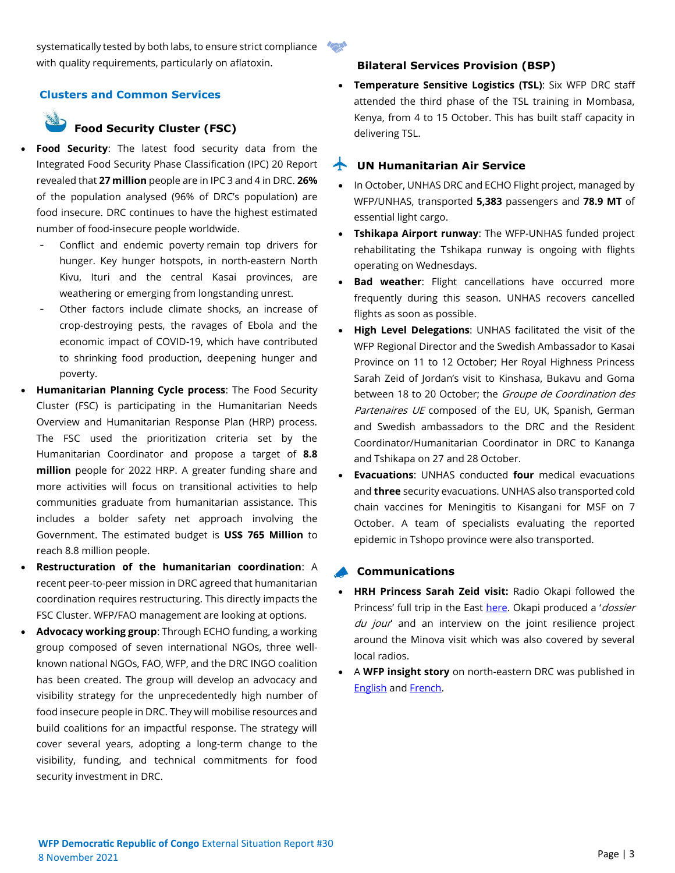## systematically tested by both labs, to ensure strict compliance with quality requirements, particularly on aflatoxin.

## **Clusters and Common Services**

## **Food Security Cluster (FSC)**

- **Food Security:** The latest food security data from the Integrated Food Security Phase Classification (IPC) 20 Report revealed that **27 million** people are in IPC 3 and 4 in DRC. **26%** of the population analysed (96% of DRC's population) are food insecure. DRC continues to have the highest estimated number of food-insecure people worldwide.
	- Conflict and endemic poverty remain top drivers for hunger. Key hunger hotspots, in north-eastern North Kivu, Ituri and the central Kasai provinces, are weathering or emerging from longstanding unrest.
	- Other factors include climate shocks, an increase of crop-destroying pests, the ravages of Ebola and the economic impact of COVID-19, which have contributed to shrinking food production, deepening hunger and poverty.
- **Humanitarian Planning Cycle process**: The Food Security Cluster (FSC) is participating in the Humanitarian Needs Overview and Humanitarian Response Plan (HRP) process. The FSC used the prioritization criteria set by the Humanitarian Coordinator and propose a target of **8.8 million** people for 2022 HRP. A greater funding share and more activities will focus on transitional activities to help communities graduate from humanitarian assistance. This includes a bolder safety net approach involving the Government. The estimated budget is **US\$ 765 Million** to reach 8.8 million people.
- **Restructuration of the humanitarian coordination**: A recent peer-to-peer mission in DRC agreed that humanitarian coordination requires restructuring. This directly impacts the FSC Cluster. WFP/FAO management are looking at options.
- **Advocacy working group**: Through ECHO funding, a working group composed of seven international NGOs, three wellknown national NGOs, FAO, WFP, and the DRC INGO coalition has been created. The group will develop an advocacy and visibility strategy for the unprecedentedly high number of food insecure people in DRC. They will mobilise resources and build coalitions for an impactful response. The strategy will cover several years, adopting a long-term change to the visibility, funding, and technical commitments for food security investment in DRC.

## **Bilateral Services Provision (BSP)**

• **Temperature Sensitive Logistics (TSL)**: Six WFP DRC staff attended the third phase of the TSL training in Mombasa, Kenya, from 4 to 15 October. This has built staff capacity in delivering TSL.

### **UN Humanitarian Air Service**

- In October, UNHAS DRC and ECHO Flight project, managed by WFP/UNHAS, transported **5,383** passengers and **78.9 MT** of essential light cargo.
- **Tshikapa Airport runway**: The WFP-UNHAS funded project rehabilitating the Tshikapa runway is ongoing with flights operating on Wednesdays.
- **Bad weather:** Flight cancellations have occurred more frequently during this season. UNHAS recovers cancelled flights as soon as possible.
- **High Level Delegations**: UNHAS facilitated the visit of the WFP Regional Director and the Swedish Ambassador to Kasai Province on 11 to 12 October; Her Royal Highness Princess Sarah Zeid of Jordan's visit to Kinshasa, Bukavu and Goma between 18 to 20 October; the Groupe de Coordination des Partenaires UE composed of the EU, UK, Spanish, German and Swedish ambassadors to the DRC and the Resident Coordinator/Humanitarian Coordinator in DRC to Kananga and Tshikapa on 27 and 28 October.
- **Evacuations**: UNHAS conducted **four** medical evacuations and **three** security evacuations. UNHAS also transported cold chain vaccines for Meningitis to Kisangani for MSF on 7 October. A team of specialists evaluating the reported epidemic in Tshopo province were also transported.

### **Communications**

- **HRH Princess Sarah Zeid visit:** Radio Okapi followed the Princess' full trip in the East [here](https://www.radiookapi.net/2021/10/19/actualite/societe/sud-kivu-lambassadrice-de-bonne-volonte-des-nations-unies-en-sejourne). Okapi produced a '*dossier* du jour' and an interview on the joint resilience project around the Minova visit which was also covered by several local radios.
- A **WFP insight story** on north-eastern DRC was published in [English](https://www.wfp.org/stories/fufu-and-fried-beans-tales-hardship-and-fortitude-drc) an[d French.](https://fr.wfp.org/histoires/du-fufu-et-des-haricots-frits-recits-de-difficultes-et-de-force-desprit-en-republique)